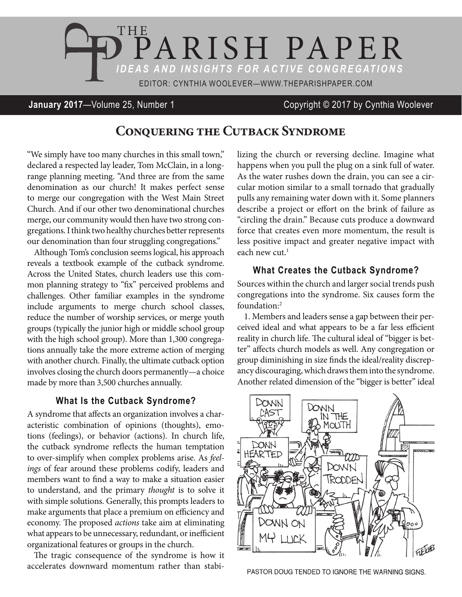

### **January 2017**—Volume 25, Number 1 Copyright © 2017 by Cynthia Woolever

# **Conquering the Cutback Syndrome**

"We simply have too many churches in this small town," declared a respected lay leader, Tom McClain, in a longrange planning meeting. "And three are from the same denomination as our church! It makes perfect sense to merge our congregation with the West Main Street Church. And if our other two denominational churches merge, our community would then have two strong congregations. I think two healthy churches better represents our denomination than four struggling congregations."

Although Tom's conclusion seems logical, his approach reveals a textbook example of the cutback syndrome. Across the United States, church leaders use this common planning strategy to "fix" perceived problems and challenges. Other familiar examples in the syndrome include arguments to merge church school classes, reduce the number of worship services, or merge youth groups (typically the junior high or middle school group with the high school group). More than 1,300 congregations annually take the more extreme action of merging with another church. Finally, the ultimate cutback option involves closing the church doors permanently—a choice made by more than 3,500 churches annually.

#### **What Is the Cutback Syndrome?**

A syndrome that affects an organization involves a characteristic combination of opinions (thoughts), emotions (feelings), or behavior (actions). In church life, the cutback syndrome reflects the human temptation to over-simplify when complex problems arise. As *feelings* of fear around these problems codify, leaders and members want to find a way to make a situation easier to understand, and the primary *thought* is to solve it with simple solutions. Generally, this prompts leaders to make arguments that place a premium on efficiency and economy. The proposed *actions* take aim at eliminating what appears to be unnecessary, redundant, or inefficient organizational features or groups in the church.

The tragic consequence of the syndrome is how it accelerates downward momentum rather than stabilizing the church or reversing decline. Imagine what happens when you pull the plug on a sink full of water. As the water rushes down the drain, you can see a circular motion similar to a small tornado that gradually pulls any remaining water down with it. Some planners describe a project or effort on the brink of failure as "circling the drain." Because cuts produce a downward force that creates even more momentum, the result is less positive impact and greater negative impact with each new cut. $1$ 

## **What Creates the Cutback Syndrome?**

Sources within the church and larger social trends push congregations into the syndrome. Six causes form the foundation:2

1. Members and leaders sense a gap between their perceived ideal and what appears to be a far less efficient reality in church life. The cultural ideal of "bigger is better" affects church models as well. Any congregation or group diminishing in size finds the ideal/reality discrepancy discouraging, which draws them into the syndrome. Another related dimension of the "bigger is better" ideal



PASTOR DOUG TENDED TO IGNORE THE WARNING SIGNS.